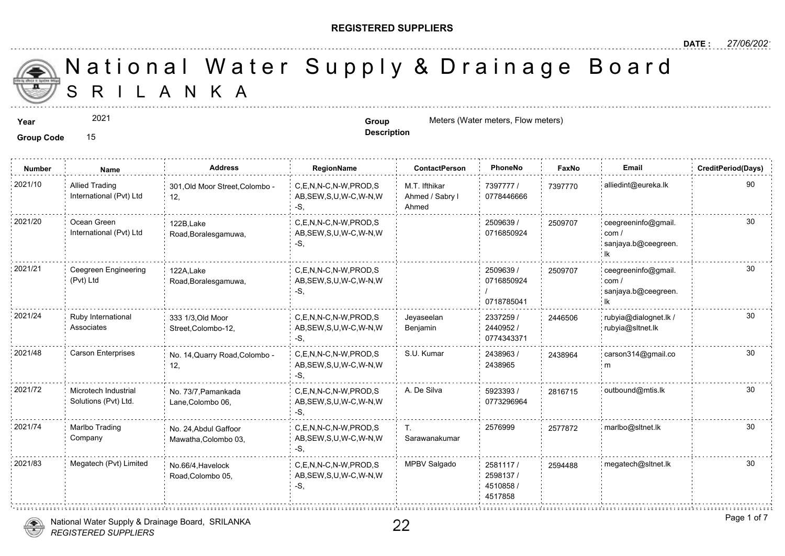#### **REGISTERED SUPPLIERS**

**Description**

A N K A National Water Supply & Drainage

**Year Group** Meters (Water meters, Flow meters) **Group Group** Meters (Water meters, Flow meters)

2021

**Group Code** 15

**Number Name Address RegionName ContactPerson PhoneNo FaxNo Email CreditPeriod(Days)** 7397777 / 73977 0778446666 M.T. Ifthikar Ahmed / Sabry l Ahmed C,E,N,N-C,N-W,PROD,S AB,SEW,S,U,W-C,W-N,W -S, 2021/10 Allied Trading 301,Old Moor Street,Colombo - C,E,N,N-C,N-W,PROD,S M.T. Ifthikar 7397777 / 739777 12, Allied Trading International (Pvt) Ltd 2509639 / 0716850924 C,E,N,N-C,N-W,PROD,S 2021/20 ceegreeninfo@gmail. AB,SEW,S,U,W-C,W-N,W -S, 122B,Lake Road,Boralesgamuwa, Ocean Green International (Pvt) Ltd 25097 2509639 / 0716850924 / 0718785041 2021/21 Ceegreen Engineering 122A Lake C,E,N,N-C,N-W,PROD,S 2509639 (2509639 / 250970 AB,SEW,S,U,W-C,W-N,W -S, 122A,Lake Road,Boralesgamuwa, Ceegreen Engineering (Pvt) Ltd 250970 2337259 / 2440952 / 0774343371 Jeyaseelan Benjamin 2021/24 Ruby International 333 1/3 Old Moor C,E,N,N-C,N-W,PROD,S Jeyaseelan 2337259 / 244650 AB,SEW,S,U,W-C,W-N,W -S, 333 1/3,Old Moor Street,Colombo-12, Ruby International **Associates** 24465 2438963 / 2438965 C,E,N,N-C,N-W,PROD,S S.U. Kumar AB,SEW,S,U,W-C,W-N,W -S, 2021/48 Carson Enterprises No. 14,Quarry Road,Colombo - C,E,N,N-C,N-W,PROD,S S.U. Kumar 2438963 / 243896 12, 243896 5923393 / 30 0773296964 2021/72 : Microtech Industrial No. 73/7,Pamankada : C,E,N,N-C,N-W,PROD,S A. De Silva : 5923393 / 281671 AB,SEW,S,U,W-C,W-N,W -S, No. 73/7,Pamankada Lane,Colombo 06, Microtech Industrial Solutions (Pvt) Ltd. T. 2576999 257787 Sarawanakumar C,E,N,N-C,N-W,PROD,S 2021/74 2577872 marlbo@sltnet.lk AB,SEW,S,U,W-C,W-N,W -S, No. 24,Abdul Gaffoor Mawatha,Colombo 03, Marlbo Trading Company 2581117 / 259448 2598137 / 4510858 / 4517858 2021/83 Megatech (Pvt) Limited <sub>No.66/4,Havelock</sub> C,E,N,N-C,N-W,PROD,S MPBV Salgado 2581117 / 259448 AB,SEW,S,U,W-C,W-N,W -S, No.66/4,Havelock Road,Colombo 05,



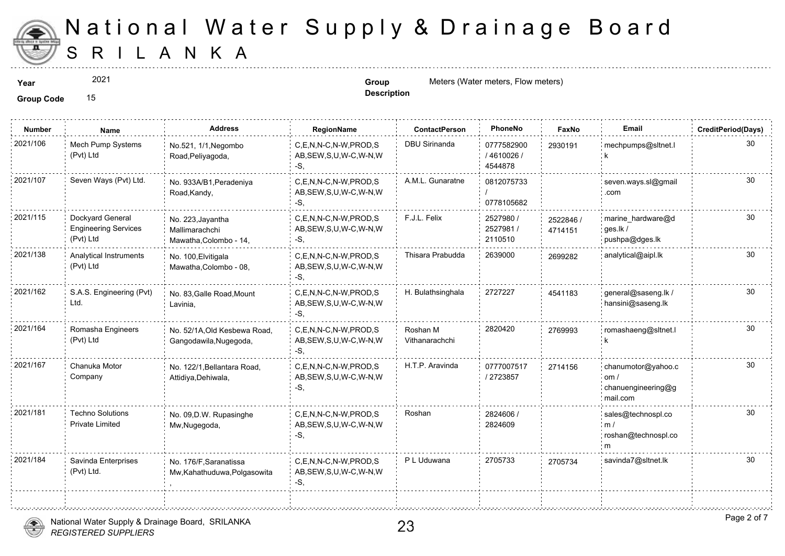

2021

**Description**

**Year Group** Meters (Water meters, Flow meters) **Group Group** Meters (Water meters, Flow meters)

**Group Code** 15

| <b>Number</b> | Name                                                         | <b>Address</b>                                                | RegionName                                                   | <b>ContactPerson</b>       | PhoneNo                              | Faxl             |
|---------------|--------------------------------------------------------------|---------------------------------------------------------------|--------------------------------------------------------------|----------------------------|--------------------------------------|------------------|
| 2021/106      | Mech Pump Systems<br>(Pvt) Ltd                               | No.521, 1/1, Negombo<br>Road, Peliyagoda,                     | C,E,N,N-C,N-W,PROD,S<br>AB, SEW, S, U, W-C, W-N, W<br>-S.    | DBU Sirinanda              | 0777582900<br>/ 4610026 /<br>4544878 | 293019           |
| 2021/107      | Seven Ways (Pvt) Ltd.                                        | No. 933A/B1, Peradeniya<br>Road, Kandy,                       | C.E.N.N-C.N-W.PROD.S<br>AB, SEW, S, U, W-C, W-N, W<br>-S.    | A.M.L. Gunaratne           | 0812075733<br>0778105682             |                  |
| 2021/115      | Dockyard General<br><b>Engineering Services</b><br>(Pvt) Ltd | No. 223, Jayantha<br>Mallimarachchi<br>Mawatha, Colombo - 14, | C,E,N,N-C,N-W,PROD,S<br>AB, SEW, S, U, W-C, W-N, W<br>-S,    | F.J.L. Felix               | 2527980 /<br>2527981/<br>2110510     | 252284<br>471415 |
| 2021/138      | Analytical Instruments<br>(Pvt) Ltd                          | No. 100, Elvitigala<br>Mawatha, Colombo - 08,                 | C,E,N,N-C,N-W,PROD,S<br>AB, SEW, S, U, W-C, W-N, W<br>-S,    | Thisara Prabudda           | 2639000                              | 269928           |
| 2021/162      | S.A.S. Engineering (Pvt)<br>Ltd.                             | No. 83, Galle Road, Mount<br>Lavinia,                         | C,E,N,N-C,N-W,PROD,S<br>AB, SEW, S, U, W-C, W-N, W<br>-S,    | H. Bulathsinghala          | 2727227                              | 454118           |
| 2021/164      | Romasha Engineers<br>(Pvt) Ltd                               | No. 52/1A, Old Kesbewa Road,<br>Gangodawila, Nugegoda,        | C,E,N,N-C,N-W,PROD,S<br>AB, SEW, S, U, W-C, W-N, W<br>-S.    | Roshan M<br>Vithanarachchi | 2820420                              | 276999           |
| 2021/167      | Chanuka Motor<br>Company                                     | No. 122/1, Bellantara Road,<br>Attidiya, Dehiwala,            | C.E.N.N-C.N-W.PROD.S<br>AB, SEW, S, U, W-C, W-N, W<br>$-S$ . | H.T.P. Aravinda            | 0777007517<br>/2723857               | 271415           |
| 2021/181      | <b>Techno Solutions</b><br><b>Private Limited</b>            | No. 09, D.W. Rupasinghe<br>Mw, Nugegoda,                      | C.E.N.N-C.N-W.PROD.S<br>AB, SEW, S, U, W-C, W-N, W<br>-S.    | Roshan                     | 2824606 /<br>2824609                 |                  |
| 2021/184      | Savinda Enterprises<br>(Pvt) Ltd.                            | No. 176/F, Saranatissa<br>Mw, Kahathuduwa, Polgasowita        | C,E,N,N-C,N-W,PROD,S<br>AB, SEW, S, U, W-C, W-N, W<br>-S.    | P L Uduwana                | 2705733                              | 270573           |
|               |                                                              |                                                               |                                                              |                            |                                      |                  |



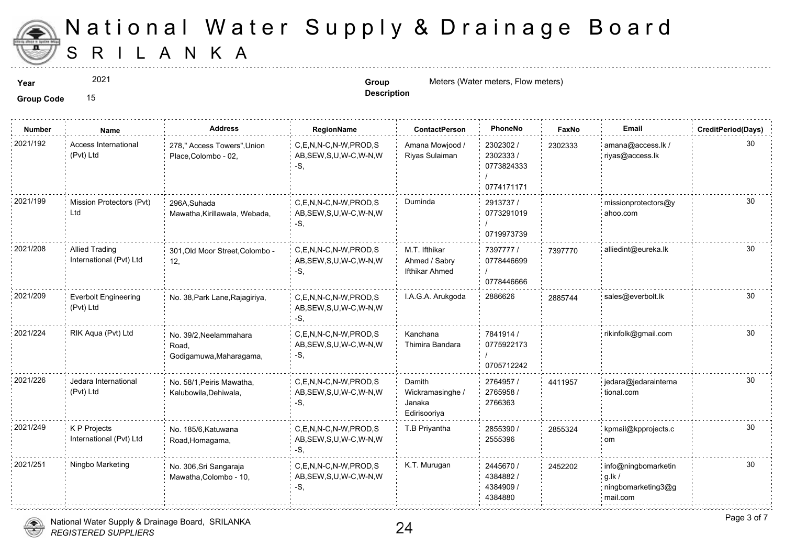

2021

**Description**

**Year Group** Meters (Water meters, Flow meters) **Group Group** Meters (Water meters, Flow meters)

**Group Code** 15

| <b>Number</b> | Name                                             | Address                                                    | RegionName                                                   | <b>ContactPerson</b>                                    | PhoneNo                                            | Faxl   |
|---------------|--------------------------------------------------|------------------------------------------------------------|--------------------------------------------------------------|---------------------------------------------------------|----------------------------------------------------|--------|
| 2021/192      | Access International<br>(Pvt) Ltd                | 278," Access Towers", Union<br>Place, Colombo - 02,        | C,E,N,N-C,N-W,PROD,S<br>AB, SEW, S, U, W-C, W-N, W<br>-S.    | Amana Mowjood /<br>Riyas Sulaiman                       | 2302302 /<br>2302333 /<br>0773824333<br>0774171171 | 230233 |
| 2021/199      | Mission Protectors (Pvt)<br>Ltd                  | 296A, Suhada<br>Mawatha, Kirillawala, Webada,              | C,E,N,N-C,N-W,PROD,S<br>AB, SEW, S, U, W-C, W-N, W<br>$-S$ . | Duminda                                                 | 2913737 /<br>0773291019<br>0719973739              |        |
| 2021/208      | <b>Allied Trading</b><br>International (Pvt) Ltd | 301, Old Moor Street, Colombo -<br>12,                     | C,E,N,N-C,N-W,PROD,S<br>AB, SEW, S, U, W-C, W-N, W<br>-S.    | M.T. Ifthikar<br>Ahmed / Sabry<br><b>Ifthikar Ahmed</b> | 7397777 /<br>0778446699<br>0778446666              | 739777 |
| 2021/209      | <b>Everbolt Engineering</b><br>(Pvt) Ltd         | No. 38, Park Lane, Rajagiriya,                             | C,E,N,N-C,N-W,PROD,S<br>AB, SEW, S, U, W-C, W-N, W<br>$-S$ . | I.A.G.A. Arukgoda                                       | 2886626                                            | 288574 |
| 2021/224      | RIK Aqua (Pvt) Ltd                               | No. 39/2, Neelammahara<br>Road,<br>Godigamuwa, Maharagama, | C.E.N.N-C.N-W.PROD.S<br>AB, SEW, S, U, W-C, W-N, W<br>$-S$ , | Kanchana<br>Thimira Bandara                             | 7841914 /<br>0775922173<br>0705712242              |        |
| 2021/226      | Jedara International<br>(Pvt) Ltd                | No. 58/1, Peiris Mawatha,<br>Kalubowila, Dehiwala,         | C.E.N.N-C.N-W.PROD.S<br>AB, SEW, S, U, W-C, W-N, W<br>$-S$ . | Damith<br>Wickramasinghe /<br>Janaka<br>Edirisooriya    | 2764957 /<br>2765958 /<br>2766363                  | 441195 |
| 2021/249      | K P Projects<br>International (Pvt) Ltd          | No. 185/6, Katuwana<br>Road, Homagama,                     | C.E.N.N-C.N-W.PROD.S<br>AB, SEW, S, U, W-C, W-N, W<br>$-S$ . | T.B Priyantha                                           | 2855390 /<br>2555396                               | 285532 |
| 2021/251      | Ningbo Marketing                                 | No. 306, Sri Sangaraja<br>Mawatha, Colombo - 10,           | C,E,N,N-C,N-W,PROD,S<br>AB, SEW, S, U, W-C, W-N, W<br>$-S.$  | K.T. Murugan                                            | 2445670 /<br>4384882/<br>4384909 /<br>4384880      | 245220 |

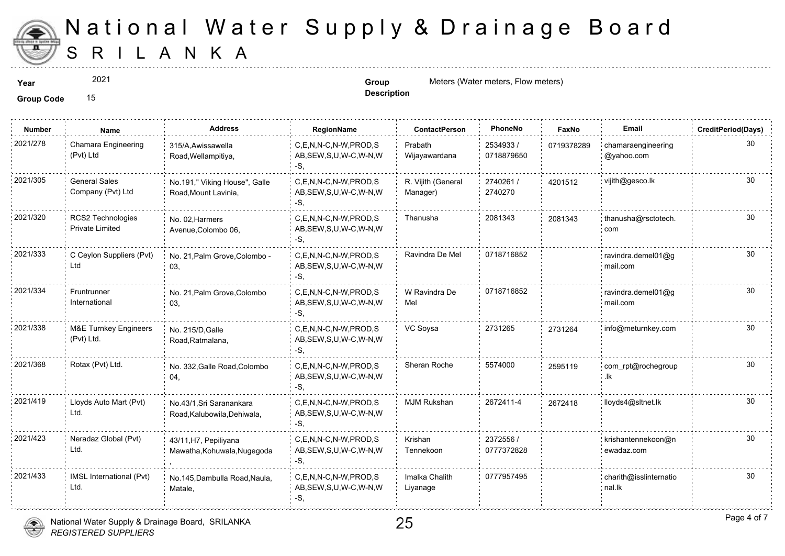

2021

**Description**

**Year Group** Meters (Water meters, Flow meters) **Group Group** Meters (Water meters, Flow meters)

**Group Code** 15

| <b>Number</b> | <b>Name</b>                                    | Address                                                | RegionName                                                   | <b>ContactPerson</b>           | PhoneNo                 | Faxl   |
|---------------|------------------------------------------------|--------------------------------------------------------|--------------------------------------------------------------|--------------------------------|-------------------------|--------|
| 2021/278      | Chamara Engineering<br>(Pvt) Ltd               | 315/A, Awissawella<br>Road, Wellampitiya,              | C,E,N,N-C,N-W,PROD,S<br>AB, SEW, S, U, W-C, W-N, W<br>$-S$ . | Prabath<br>Wijayawardana       | 2534933 /<br>0718879650 | 071937 |
| 2021/305      | <b>General Sales</b><br>Company (Pvt) Ltd      | No.191," Viking House", Galle<br>Road, Mount Lavinia,  | C,E,N,N-C,N-W,PROD,S<br>AB, SEW, S, U, W-C, W-N, W<br>-S.    | R. Vijith (General<br>Manager) | 2740261 /<br>2740270    | 420151 |
| 2021/320      | RCS2 Technologies<br><b>Private Limited</b>    | No. 02, Harmers<br>Avenue, Colombo 06,                 | C,E,N,N-C,N-W,PROD,S<br>AB, SEW, S, U, W-C, W-N, W<br>-S.    | Thanusha                       | 2081343                 | 208134 |
| 2021/333      | C Ceylon Suppliers (Pvt)<br>Ltd                | No. 21, Palm Grove, Colombo -<br>03,                   | C.E.N.N-C.N-W.PROD.S<br>AB, SEW, S, U, W-C, W-N, W<br>$-S$ . | Ravindra De Mel                | 0718716852              |        |
| 2021/334      | Fruntrunner<br>International                   | No. 21, Palm Grove, Colombo<br>03,                     | C,E,N,N-C,N-W,PROD,S<br>AB, SEW, S, U, W-C, W-N, W<br>-S.    | W Ravindra De<br>Mel           | 0718716852              |        |
| 2021/338      | <b>M&amp;E Turnkey Engineers</b><br>(Pvt) Ltd. | No. 215/D, Galle<br>Road, Ratmalana,                   | C.E.N.N-C.N-W.PROD.S<br>AB, SEW, S, U, W-C, W-N, W<br>-S.    | VC Soysa                       | 2731265                 | 273126 |
| 2021/368      | Rotax (Pvt) Ltd.                               | No. 332, Galle Road, Colombo<br>04,                    | C,E,N,N-C,N-W,PROD,S<br>AB, SEW, S, U, W-C, W-N, W<br>-S.    | Sheran Roche                   | 5574000                 | 259511 |
| 2021/419      | Lloyds Auto Mart (Pvt)<br>Ltd.                 | No.43/1.Sri Saranankara<br>Road, Kalubowila, Dehiwala, | C.E.N.N-C.N-W.PROD.S<br>AB, SEW, S, U, W-C, W-N, W<br>$-S.$  | <b>MJM Rukshan</b>             | 2672411-4               | 267241 |
| 2021/423      | Neradaz Global (Pvt)<br>Ltd.                   | 43/11, H7, Pepiliyana<br>Mawatha, Kohuwala, Nugegoda   | C.E.N.N-C.N-W.PROD.S<br>AB, SEW, S, U, W-C, W-N, W<br>$-S$ . | Krishan<br>Tennekoon           | 2372556 /<br>0777372828 |        |
| 2021/433      | IMSL International (Pvt)<br>Ltd.               | No.145, Dambulla Road, Naula,<br>Matale,               | C.E.N.N-C.N-W.PROD.S<br>AB, SEW, S, U, W-C, W-N, W<br>-S.    | Imalka Chalith<br>Liyanage     | 0777957495              |        |

National Water Supply & Drainage Board, SRILANKA



*REGISTERED SUPPLIERS*

25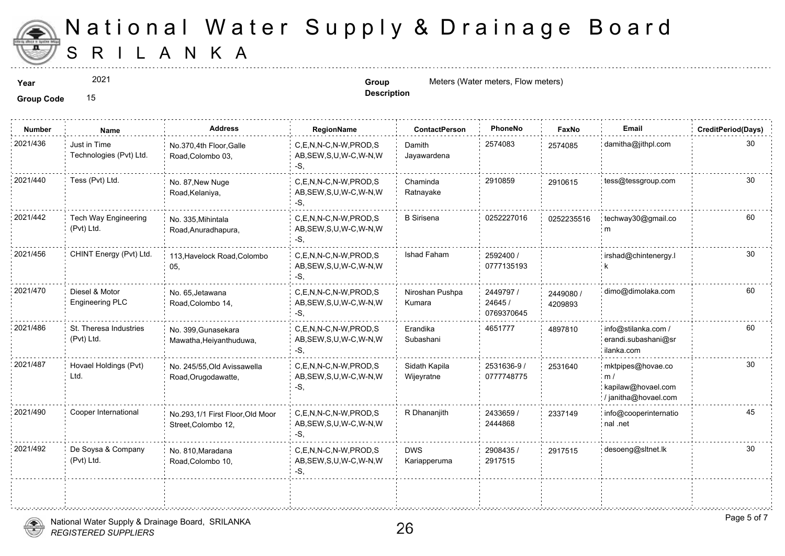

2021

**Description**

**Year Group** Meters (Water meters, Flow meters) **Group Group** Meters (Water meters, Flow meters)

**Group Code** 15

| <b>Number</b> | <b>Name</b>                              | Address                                                | <b>RegionName</b>                                         | <b>ContactPerson</b>        | PhoneNo                            | Faxl             |
|---------------|------------------------------------------|--------------------------------------------------------|-----------------------------------------------------------|-----------------------------|------------------------------------|------------------|
| 2021/436      | Just in Time<br>Technologies (Pvt) Ltd.  | No.370,4th Floor, Galle<br>Road, Colombo 03,           | C.E.N.N-C.N-W.PROD.S<br>AB, SEW, S, U, W-C, W-N, W<br>-S. | Damith<br>Jayawardena       | 2574083                            | 257408           |
| 2021/440      | Tess (Pvt) Ltd.                          | No. 87, New Nuge<br>Road, Kelaniya,                    | C.E.N.N-C.N-W.PROD.S<br>AB, SEW, S, U, W-C, W-N, W<br>-S. | Chaminda<br>Ratnayake       | 2910859                            | 291061           |
| 2021/442      | Tech Way Engineering<br>(Pvt) Ltd.       | No. 335, Mihintala<br>Road, Anuradhapura,              | C.E.N.N-C.N-W.PROD.S<br>AB, SEW, S, U, W-C, W-N, W<br>-S, | <b>B</b> Sirisena           | 0252227016                         | 025223           |
| 2021/456      | CHINT Energy (Pvt) Ltd.                  | 113, Havelock Road, Colombo<br>05,                     | C,E,N,N-C,N-W,PROD,S<br>AB, SEW, S, U, W-C, W-N, W<br>-S. | Ishad Faham                 | 2592400 /<br>0777135193            |                  |
| 2021/470      | Diesel & Motor<br><b>Engineering PLC</b> | No. 65, Jetawana<br>Road, Colombo 14,                  | C.E.N.N-C.N-W.PROD.S<br>AB, SEW, S, U, W-C, W-N, W<br>-S. | Niroshan Pushpa<br>Kumara   | 2449797 /<br>24645 /<br>0769370645 | 244908<br>420989 |
| 2021/486      | St. Theresa Industries<br>(Pvt) Ltd.     | No. 399, Gunasekara<br>Mawatha, Heiyanthuduwa,         | C,E,N,N-C,N-W,PROD,S<br>AB, SEW, S, U, W-C, W-N, W<br>-S. | Erandika<br>Subashani       | 4651777                            | 489781           |
| 2021/487      | Hovael Holdings (Pvt)<br>Ltd.            | No. 245/55, Old Avissawella<br>Road, Orugodawatte,     | C.E.N.N-C.N-W.PROD.S<br>AB, SEW, S, U, W-C, W-N, W<br>-S. | Sidath Kapila<br>Wijeyratne | 2531636-9 /<br>0777748775          | 253164           |
| 2021/490      | Cooper International                     | No.293,1/1 First Floor,Old Moor<br>Street, Colombo 12, | C.E.N.N-C.N-W.PROD.S<br>AB, SEW, S, U, W-C, W-N, W<br>-S, | R Dhananjith                | 2433659 /<br>2444868               | 233714           |
| 2021/492      | De Soysa & Company<br>(Pvt) Ltd.         | No. 810, Maradana<br>Road, Colombo 10,                 | C,E,N,N-C,N-W,PROD,S<br>AB, SEW, S, U, W-C, W-N, W<br>-S, | <b>DWS</b><br>Kariapperuma  | 2908435 /<br>2917515               | 291751           |
|               |                                          |                                                        |                                                           |                             |                                    |                  |



÷.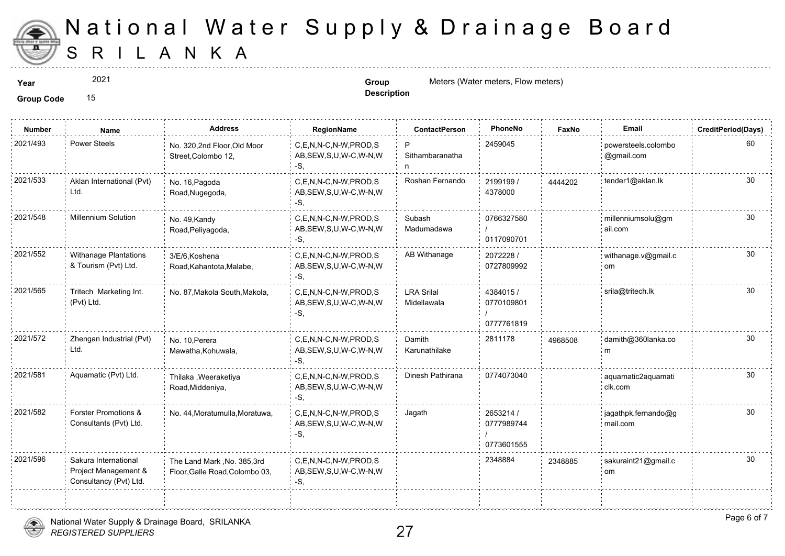

2021

**Description**

**Year Group** Meters (Water meters, Flow meters) **Group Group** Meters (Water meters, Flow meters)

**Group Code** 15

| <b>Number</b> | Name                                                                   | <b>Address</b>                                                | RegionName                                                   | <b>ContactPerson</b>             | PhoneNo                               | Faxl   |
|---------------|------------------------------------------------------------------------|---------------------------------------------------------------|--------------------------------------------------------------|----------------------------------|---------------------------------------|--------|
| 2021/493      | <b>Power Steels</b>                                                    | No. 320,2nd Floor,Old Moor<br>Street, Colombo 12,             | C,E,N,N-C,N-W,PROD,S<br>AB, SEW, S, U, W-C, W-N, W<br>-S.    | P<br>Sithambaranatha             | 2459045                               |        |
| 2021/533      | Aklan International (Pvt)<br>Ltd.                                      | No. 16, Pagoda<br>Road, Nugegoda,                             | C.E.N.N-C.N-W.PROD.S<br>AB, SEW, S, U, W-C, W-N, W<br>-S.    | Roshan Fernando                  | 2199199/<br>4378000                   | 444420 |
| 2021/548      | <b>Millennium Solution</b>                                             | No. 49, Kandy<br>Road, Peliyagoda,                            | C,E,N,N-C,N-W,PROD,S<br>AB, SEW, S, U, W-C, W-N, W<br>-S.    | Subash<br>Madumadawa             | 0766327580<br>0117090701              |        |
| 2021/552      | Withanage Plantations<br>& Tourism (Pvt) Ltd.                          | 3/E/6, Koshena<br>Road, Kahantota, Malabe,                    | C,E,N,N-C,N-W,PROD,S<br>AB, SEW, S, U, W-C, W-N, W<br>$-S$ , | AB Withanage                     | 2072228 /<br>0727809992               |        |
| 2021/565      | Tritech Marketing Int.<br>(Pvt) Ltd.                                   | No. 87, Makola South, Makola,                                 | C.E.N.N-C.N-W.PROD.S<br>AB, SEW, S, U, W-C, W-N, W<br>$-S,$  | <b>LRA Srilal</b><br>Midellawala | 4384015/<br>0770109801<br>0777761819  |        |
| 2021/572      | Zhengan Industrial (Pvt)<br>Ltd.                                       | No. 10. Perera<br>Mawatha, Kohuwala,                          | C.E.N.N-C.N-W.PROD.S<br>AB, SEW, S, U, W-C, W-N, W<br>-S.    | Damith<br>Karunathilake          | 2811178                               | 496850 |
| 2021/581      | Aquamatic (Pvt) Ltd.                                                   | Thilaka , Weeraketiya<br>Road, Middeniya,                     | C,E,N,N-C,N-W,PROD,S<br>AB, SEW, S, U, W-C, W-N, W<br>-S,    | Dinesh Pathirana                 | 0774073040                            |        |
| 2021/582      | Forster Promotions &<br>Consultants (Pvt) Ltd.                         | No. 44, Moratumulla, Moratuwa,                                | C,E,N,N-C,N-W,PROD,S<br>AB, SEW, S, U, W-C, W-N, W<br>-S.    | Jagath                           | 2653214 /<br>0777989744<br>0773601555 |        |
| 2021/596      | Sakura International<br>Project Management &<br>Consultancy (Pvt) Ltd. | The Land Mark, No. 385, 3rd<br>Floor, Galle Road, Colombo 03, | C.E.N.N-C.N-W.PROD.S<br>AB, SEW, S, U, W-C, W-N, W<br>-S.    |                                  | 2348884                               | 234888 |
|               |                                                                        |                                                               |                                                              |                                  |                                       |        |